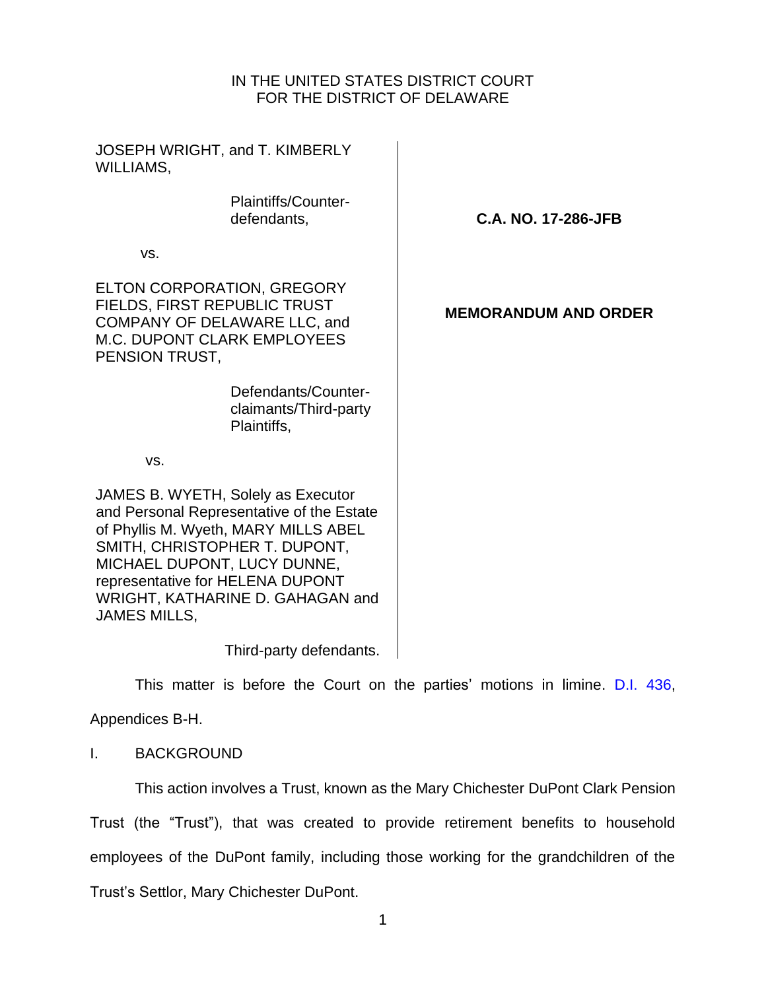## IN THE UNITED STATES DISTRICT COURT FOR THE DISTRICT OF DELAWARE

| JOSEPH WRIGHT, and T. KIMBERLY<br>WILLIAMS,                                                                                                                                                                                                                                            |                             |
|----------------------------------------------------------------------------------------------------------------------------------------------------------------------------------------------------------------------------------------------------------------------------------------|-----------------------------|
| Plaintiffs/Counter-<br>defendants,                                                                                                                                                                                                                                                     | C.A. NO. 17-286-JFB         |
| VS.                                                                                                                                                                                                                                                                                    |                             |
| ELTON CORPORATION, GREGORY<br>FIELDS, FIRST REPUBLIC TRUST<br>COMPANY OF DELAWARE LLC, and<br><b>M.C. DUPONT CLARK EMPLOYEES</b><br>PENSION TRUST,                                                                                                                                     | <b>MEMORANDUM AND ORDER</b> |
| Defendants/Counter-<br>claimants/Third-party<br>Plaintiffs,                                                                                                                                                                                                                            |                             |
| VS.                                                                                                                                                                                                                                                                                    |                             |
| JAMES B. WYETH, Solely as Executor<br>and Personal Representative of the Estate<br>of Phyllis M. Wyeth, MARY MILLS ABEL<br>SMITH, CHRISTOPHER T. DUPONT,<br>MICHAEL DUPONT, LUCY DUNNE,<br>representative for HELENA DUPONT<br>WRIGHT, KATHARINE D. GAHAGAN and<br><b>JAMES MILLS,</b> |                             |
| Third-party defendants.                                                                                                                                                                                                                                                                |                             |

This matter is before the Court on the parties' motions in limine. [D.I. 436,](https://ecf.ded.uscourts.gov/doc1/04305561799)

Appendices B-H.

## I. BACKGROUND

This action involves a Trust, known as the Mary Chichester DuPont Clark Pension Trust (the "Trust"), that was created to provide retirement benefits to household employees of the DuPont family, including those working for the grandchildren of the Trust's Settlor, Mary Chichester DuPont.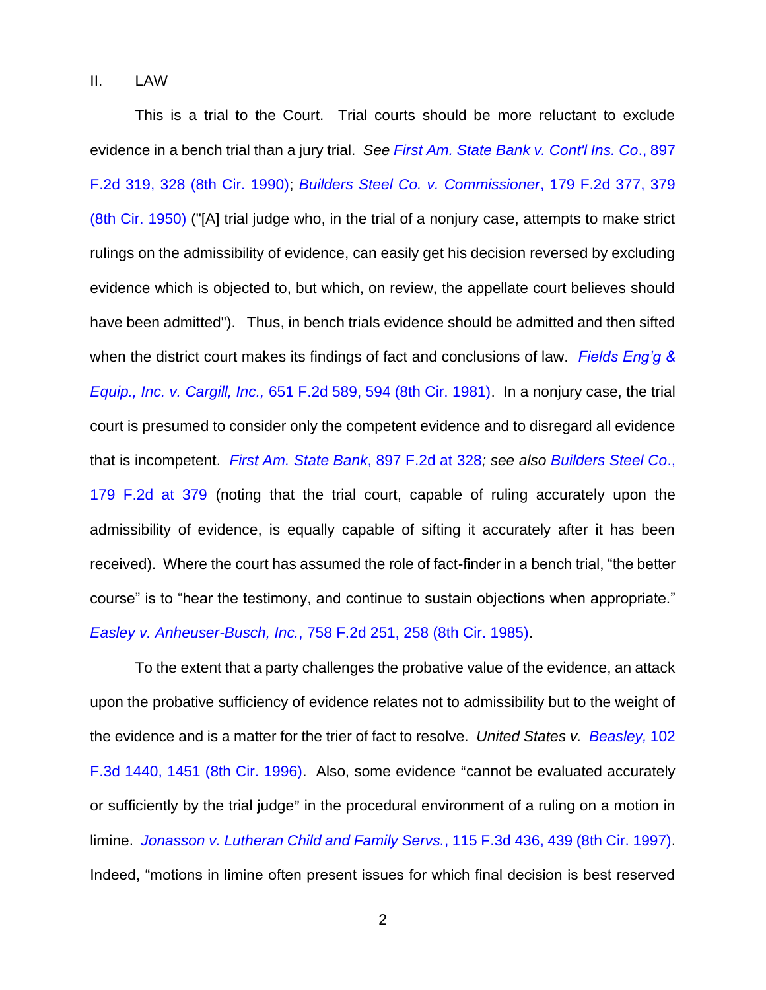II. LAW

This is a trial to the Court. Trial courts should be more reluctant to exclude evidence in a bench trial than a jury trial. *See [First Am. State Bank v. Cont'l Ins. Co](https://www.westlaw.com/Document/Ie345849a971d11d9bdd1cfdd544ca3a4/View/FullText.html?transitionType=Default&contextData=(sc.Default)&VR=3.0&RS=da3.0&fragmentIdentifier=co_pp_sp_350_328)*., 897 [F.2d 319, 328 \(8th Cir. 1990\);](https://www.westlaw.com/Document/Ie345849a971d11d9bdd1cfdd544ca3a4/View/FullText.html?transitionType=Default&contextData=(sc.Default)&VR=3.0&RS=da3.0&fragmentIdentifier=co_pp_sp_350_328) *[Builders Steel Co. v. Commissioner](https://www.westlaw.com/Document/I3bc0c9658e4811d9a707f4371c9c34f0/View/FullText.html?transitionType=Default&contextData=(sc.Default)&VR=3.0&RS=da3.0&fragmentIdentifier=co_pp_sp_350_379)*, 179 F.2d 377, 379 [\(8th Cir. 1950\)](https://www.westlaw.com/Document/I3bc0c9658e4811d9a707f4371c9c34f0/View/FullText.html?transitionType=Default&contextData=(sc.Default)&VR=3.0&RS=da3.0&fragmentIdentifier=co_pp_sp_350_379) ("[A] trial judge who, in the trial of a nonjury case, attempts to make strict rulings on the admissibility of evidence, can easily get his decision reversed by excluding evidence which is objected to, but which, on review, the appellate court believes should have been admitted"). Thus, in bench trials evidence should be admitted and then sifted when the district court makes its findings of fact and conclusions of law. *[Fields Eng'g &](https://www.westlaw.com/Document/Id8e09cf3927811d9bc61beebb95be672/View/FullText.html?transitionType=Default&contextData=(sc.Default)&VR=3.0&RS=da3.0&fragmentIdentifier=co_pp_sp_350_594)  Equip., Inc. v. Cargill, Inc.,* [651 F.2d 589, 594 \(8th Cir. 1981\).](https://www.westlaw.com/Document/Id8e09cf3927811d9bc61beebb95be672/View/FullText.html?transitionType=Default&contextData=(sc.Default)&VR=3.0&RS=da3.0&fragmentIdentifier=co_pp_sp_350_594) In a nonjury case, the trial court is presumed to consider only the competent evidence and to disregard all evidence that is incompetent. *[First Am. State Bank](https://www.westlaw.com/Document/Ie345849a971d11d9bdd1cfdd544ca3a4/View/FullText.html?transitionType=Default&contextData=(sc.Default)&VR=3.0&RS=da3.0&fragmentIdentifier=co_pp_sp_350_328)*, 897 F.2d at 328*; see also [Builders Steel Co](https://www.westlaw.com/Document/I3bc0c9658e4811d9a707f4371c9c34f0/View/FullText.html?transitionType=Default&contextData=(sc.Default)&VR=3.0&RS=da3.0&fragmentIdentifier=co_pp_sp_350_379)*., [179 F.2d at 379](https://www.westlaw.com/Document/I3bc0c9658e4811d9a707f4371c9c34f0/View/FullText.html?transitionType=Default&contextData=(sc.Default)&VR=3.0&RS=da3.0&fragmentIdentifier=co_pp_sp_350_379) (noting that the trial court, capable of ruling accurately upon the admissibility of evidence, is equally capable of sifting it accurately after it has been received). Where the court has assumed the role of fact-finder in a bench trial, "the better course" is to "hear the testimony, and continue to sustain objections when appropriate." *Easley v. Anheuser-Busch, Inc.*[, 758 F.2d 251, 258 \(8th Cir. 1985\).](https://www.westlaw.com/Document/Iddf4c49894a911d9a707f4371c9c34f0/View/FullText.html?transitionType=Default&contextData=(sc.Default)&VR=3.0&RS=da3.0&fragmentIdentifier=co_pp_sp_350_258)

To the extent that a party challenges the probative value of the evidence, an attack upon the probative sufficiency of evidence relates not to admissibility but to the weight of the evidence and is a matter for the trier of fact to resolve. *United States v. [Beasley,](https://www.westlaw.com/Document/I8f5eb504940b11d9a707f4371c9c34f0/View/FullText.html?transitionType=Default&contextData=(sc.Default)&VR=3.0&RS=da3.0&fragmentIdentifier=co_pp_sp_506_1451)* 102 [F.3d 1440, 1451 \(8th Cir. 1996\).](https://www.westlaw.com/Document/I8f5eb504940b11d9a707f4371c9c34f0/View/FullText.html?transitionType=Default&contextData=(sc.Default)&VR=3.0&RS=da3.0&fragmentIdentifier=co_pp_sp_506_1451) Also, some evidence "cannot be evaluated accurately or sufficiently by the trial judge" in the procedural environment of a ruling on a motion in limine. *[Jonasson v. Lutheran Child and Family Servs.](https://www.westlaw.com/Document/Ic13c6cc4941f11d993e6d35cc61aab4a/View/FullText.html?transitionType=Default&contextData=(sc.Default)&VR=3.0&RS=da3.0&fragmentIdentifier=co_pp_sp_506_439)*, 115 F.3d 436, 439 (8th Cir. 1997). Indeed, "motions in limine often present issues for which final decision is best reserved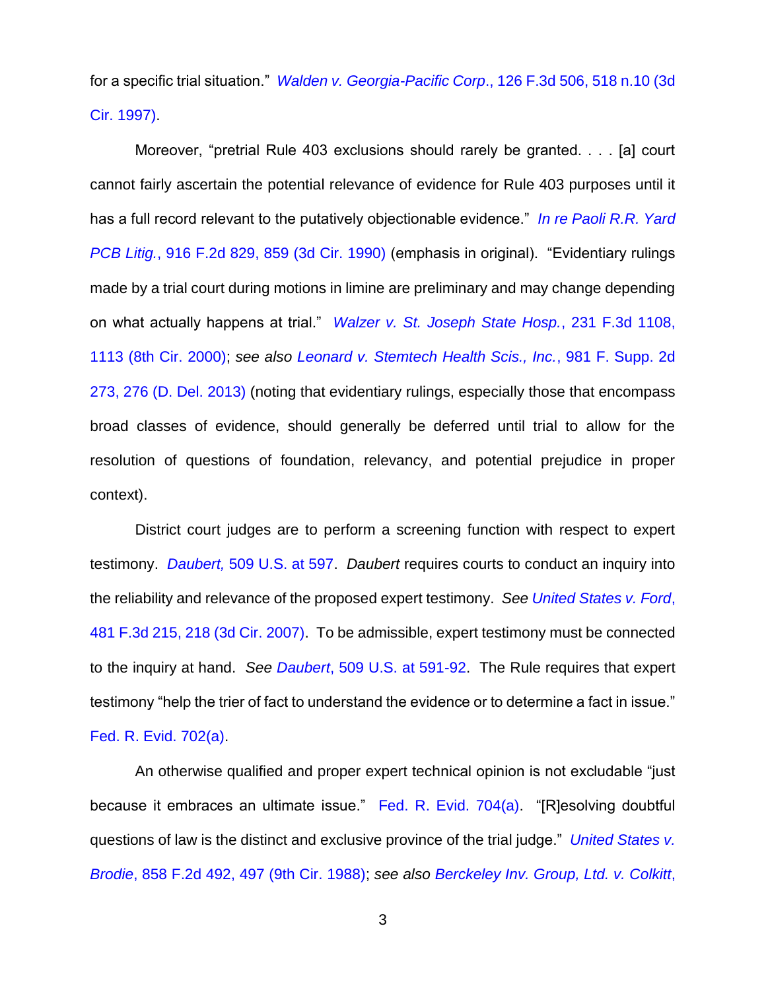for a specific trial situation." *[Walden v. Georgia-Pacific Corp](https://www.westlaw.com/Document/I78550552942c11d9a707f4371c9c34f0/View/FullText.html?transitionType=Default&contextData=(sc.Default)&VR=3.0&RS=da3.0&fragmentIdentifier=co_pp_sp_506_518+n.10)*., 126 F.3d 506, 518 n.10 (3d [Cir. 1997\).](https://www.westlaw.com/Document/I78550552942c11d9a707f4371c9c34f0/View/FullText.html?transitionType=Default&contextData=(sc.Default)&VR=3.0&RS=da3.0&fragmentIdentifier=co_pp_sp_506_518+n.10)

Moreover, "pretrial Rule 403 exclusions should rarely be granted. . . . [a] court cannot fairly ascertain the potential relevance of evidence for Rule 403 purposes until it has a full record relevant to the putatively objectionable evidence." *[In re Paoli R.R. Yard](https://www.westlaw.com/Document/I5bb9dea87fbb11d9ac1ffa9f33b6c3b0/View/FullText.html?transitionType=Default&contextData=(sc.Default)&VR=3.0&RS=da3.0&fragmentIdentifier=co_pp_sp_350_859)  PCB Litig.*[, 916 F.2d 829, 859 \(3d Cir. 1990\)](https://www.westlaw.com/Document/I5bb9dea87fbb11d9ac1ffa9f33b6c3b0/View/FullText.html?transitionType=Default&contextData=(sc.Default)&VR=3.0&RS=da3.0&fragmentIdentifier=co_pp_sp_350_859) (emphasis in original). "Evidentiary rulings made by a trial court during motions in limine are preliminary and may change depending on what actually happens at trial." *[Walzer v. St. Joseph State Hosp.](https://www.westlaw.com/Document/Iff4f97e0799311d98c82a53fc8ac8757/View/FullText.html?transitionType=Default&contextData=(sc.Default)&VR=3.0&RS=da3.0&fragmentIdentifier=co_pp_sp_506_1113)*, 231 F.3d 1108, [1113 \(8th Cir. 2000\);](https://www.westlaw.com/Document/Iff4f97e0799311d98c82a53fc8ac8757/View/FullText.html?transitionType=Default&contextData=(sc.Default)&VR=3.0&RS=da3.0&fragmentIdentifier=co_pp_sp_506_1113) *see also [Leonard v. Stemtech Health Scis., Inc.](https://www.westlaw.com/Document/I0a8ab2ab2c0411e38911df21cb42a557/View/FullText.html?transitionType=Default&contextData=(sc.Default)&VR=3.0&RS=da3.0&fragmentIdentifier=co_pp_sp_4637_276)*, 981 F. Supp. 2d [273, 276 \(D. Del. 2013\)](https://www.westlaw.com/Document/I0a8ab2ab2c0411e38911df21cb42a557/View/FullText.html?transitionType=Default&contextData=(sc.Default)&VR=3.0&RS=da3.0&fragmentIdentifier=co_pp_sp_4637_276) (noting that evidentiary rulings, especially those that encompass broad classes of evidence, should generally be deferred until trial to allow for the resolution of questions of foundation, relevancy, and potential prejudice in proper context).

District court judges are to perform a screening function with respect to expert testimony. *Daubert,* [509 U.S. at 597.](https://www.westlaw.com/Document/Ia094c02a9c9a11d993e6d35cc61aab4a/View/FullText.html?transitionType=Default&contextData=(sc.Default)&VR=3.0&RS=da3.0&fragmentIdentifier=co_pp_sp_780_597) *Daubert* requires courts to conduct an inquiry into the reliability and relevance of the proposed expert testimony. *See [United States v. Ford](https://www.westlaw.com/Document/Ic11d22ccde0011dbb92c924f6a2d2928/View/FullText.html?transitionType=Default&contextData=(sc.Default)&VR=3.0&RS=da3.0&fragmentIdentifier=co_pp_sp_506_218)*, [481 F.3d 215, 218 \(3d Cir. 2007\).](https://www.westlaw.com/Document/Ic11d22ccde0011dbb92c924f6a2d2928/View/FullText.html?transitionType=Default&contextData=(sc.Default)&VR=3.0&RS=da3.0&fragmentIdentifier=co_pp_sp_506_218) To be admissible, expert testimony must be connected to the inquiry at hand. *See Daubert*[, 509 U.S. at 591-92.](https://www.westlaw.com/Document/Ia094c02a9c9a11d993e6d35cc61aab4a/View/FullText.html?transitionType=Default&contextData=(sc.Default)&VR=3.0&RS=da3.0&fragmentIdentifier=co_pp_sp_780_591) The Rule requires that expert testimony "help the trier of fact to understand the evidence or to determine a fact in issue." [Fed. R. Evid. 702\(a\).](https://www.westlaw.com/Document/NF52A17E0B96D11D8983DF34406B5929B/View/FullText.html?transitionType=Default&contextData=(sc.Default)&VR=3.0&RS=da3.0)

An otherwise qualified and proper expert technical opinion is not excludable "just because it embraces an ultimate issue." [Fed. R. Evid. 704\(a\).](https://www.westlaw.com/Document/N16895630B96E11D8983DF34406B5929B/View/FullText.html?transitionType=Default&contextData=(sc.Default)&VR=3.0&RS=da3.0) "[R]esolving doubtful questions of law is the distinct and exclusive province of the trial judge." *[United States v.](https://www.westlaw.com/Document/Ic946fe3795e611d993e6d35cc61aab4a/View/FullText.html?transitionType=Default&contextData=(sc.Default)&VR=3.0&RS=da3.0&fragmentIdentifier=co_pp_sp_350_497)  Brodie*[, 858 F.2d 492, 497 \(9th Cir. 1988\);](https://www.westlaw.com/Document/Ic946fe3795e611d993e6d35cc61aab4a/View/FullText.html?transitionType=Default&contextData=(sc.Default)&VR=3.0&RS=da3.0&fragmentIdentifier=co_pp_sp_350_497) *see also [Berckeley Inv. Group, Ltd. v. Colkitt](https://www.westlaw.com/Document/Ib32df1581bfd11dbbffafa490ee528f6/View/FullText.html?transitionType=Default&contextData=(sc.Default)&VR=3.0&RS=da3.0&fragmentIdentifier=co_pp_sp_506_217)*,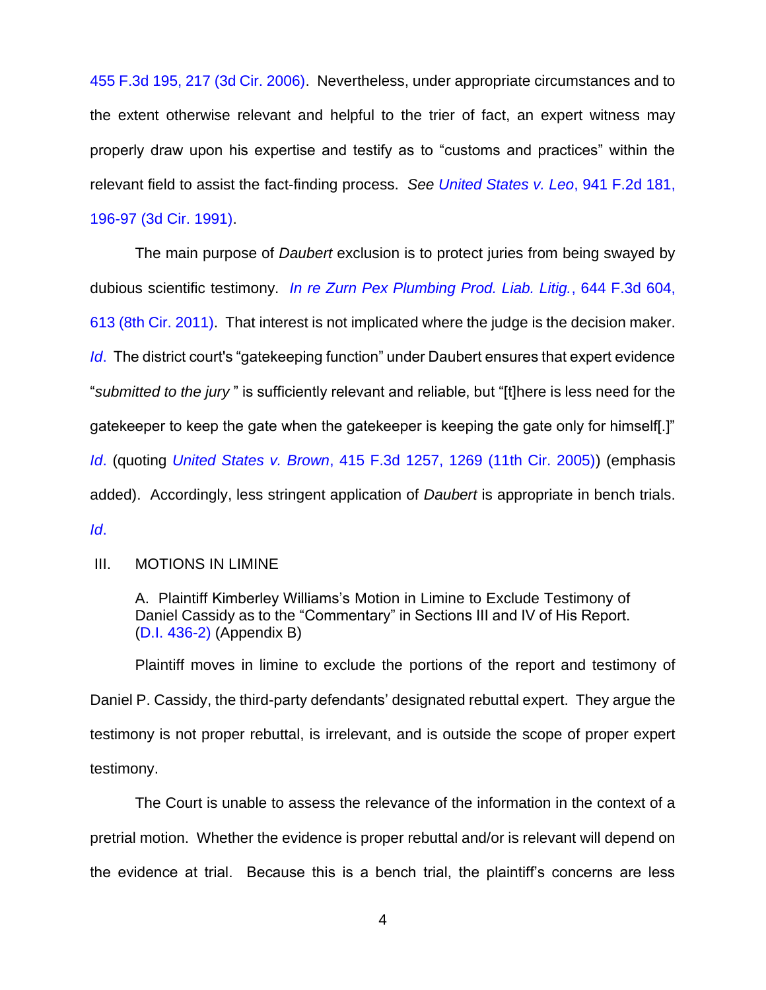[455 F.3d 195, 217 \(3d Cir. 2006\).](https://www.westlaw.com/Document/Ib32df1581bfd11dbbffafa490ee528f6/View/FullText.html?transitionType=Default&contextData=(sc.Default)&VR=3.0&RS=da3.0&fragmentIdentifier=co_pp_sp_506_217) Nevertheless, under appropriate circumstances and to the extent otherwise relevant and helpful to the trier of fact, an expert witness may properly draw upon his expertise and testify as to "customs and practices" within the relevant field to assist the fact-finding process. *See [United States v. Leo](https://www.westlaw.com/Document/I778e93be94be11d9a707f4371c9c34f0/View/FullText.html?transitionType=Default&contextData=(sc.Default)&VR=3.0&RS=da3.0&fragmentIdentifier=co_pp_sp_350_196)*, 941 F.2d 181, [196-97 \(3d Cir. 1991\).](https://www.westlaw.com/Document/I778e93be94be11d9a707f4371c9c34f0/View/FullText.html?transitionType=Default&contextData=(sc.Default)&VR=3.0&RS=da3.0&fragmentIdentifier=co_pp_sp_350_196)

The main purpose of *Daubert* exclusion is to protect juries from being swayed by dubious scientific testimony. *[In re Zurn Pex Plumbing Prod. Liab. Litig.](https://www.westlaw.com/Document/I11722002a7eb11e08bbeb4ca0e5b8ed9/View/FullText.html?transitionType=Default&contextData=(sc.Default)&VR=3.0&RS=da3.0&fragmentIdentifier=co_pp_sp_506_613)*, 644 F.3d 604, [613 \(8th Cir. 2011\).](https://www.westlaw.com/Document/I11722002a7eb11e08bbeb4ca0e5b8ed9/View/FullText.html?transitionType=Default&contextData=(sc.Default)&VR=3.0&RS=da3.0&fragmentIdentifier=co_pp_sp_506_613) That interest is not implicated where the judge is the decision maker. *[Id](https://www.westlaw.com/Document/I11722002a7eb11e08bbeb4ca0e5b8ed9/View/FullText.html?transitionType=Default&contextData=(sc.Default)&VR=3.0&RS=da3.0).* The district court's "gatekeeping function" under Daubert ensures that expert evidence "*submitted to the jury* " is sufficiently relevant and reliable, but "[t]here is less need for the gatekeeper to keep the gate when the gatekeeper is keeping the gate only for himself[.]" *[Id](https://www.westlaw.com/Document/I11722002a7eb11e08bbeb4ca0e5b8ed9/View/FullText.html?transitionType=Default&contextData=(sc.Default)&VR=3.0&RS=da3.0)*. (quoting *United States v. Brown*[, 415 F.3d 1257, 1269 \(11th Cir. 2005\)\)](https://www.westlaw.com/Document/I44669a16efee11d99439b076ef9ec4de/View/FullText.html?transitionType=Default&contextData=(sc.Default)&VR=3.0&RS=da3.0&fragmentIdentifier=co_pp_sp_506_1269) (emphasis added). Accordingly, less stringent application of *Daubert* is appropriate in bench trials. *[Id](https://www.westlaw.com/Document/I44669a16efee11d99439b076ef9ec4de/View/FullText.html?transitionType=Default&contextData=(sc.Default)&VR=3.0&RS=da3.0)*.

## III. MOTIONS IN LIMINE

A. Plaintiff Kimberley Williams's Motion in Limine to Exclude Testimony of Daniel Cassidy as to the "Commentary" in Sections III and IV of His Report. [\(D.I. 436-2\)](https://ecf.ded.uscourts.gov/doc1/04315561801) (Appendix B)

Plaintiff moves in limine to exclude the portions of the report and testimony of Daniel P. Cassidy, the third-party defendants' designated rebuttal expert. They argue the testimony is not proper rebuttal, is irrelevant, and is outside the scope of proper expert testimony.

The Court is unable to assess the relevance of the information in the context of a pretrial motion. Whether the evidence is proper rebuttal and/or is relevant will depend on the evidence at trial. Because this is a bench trial, the plaintiff's concerns are less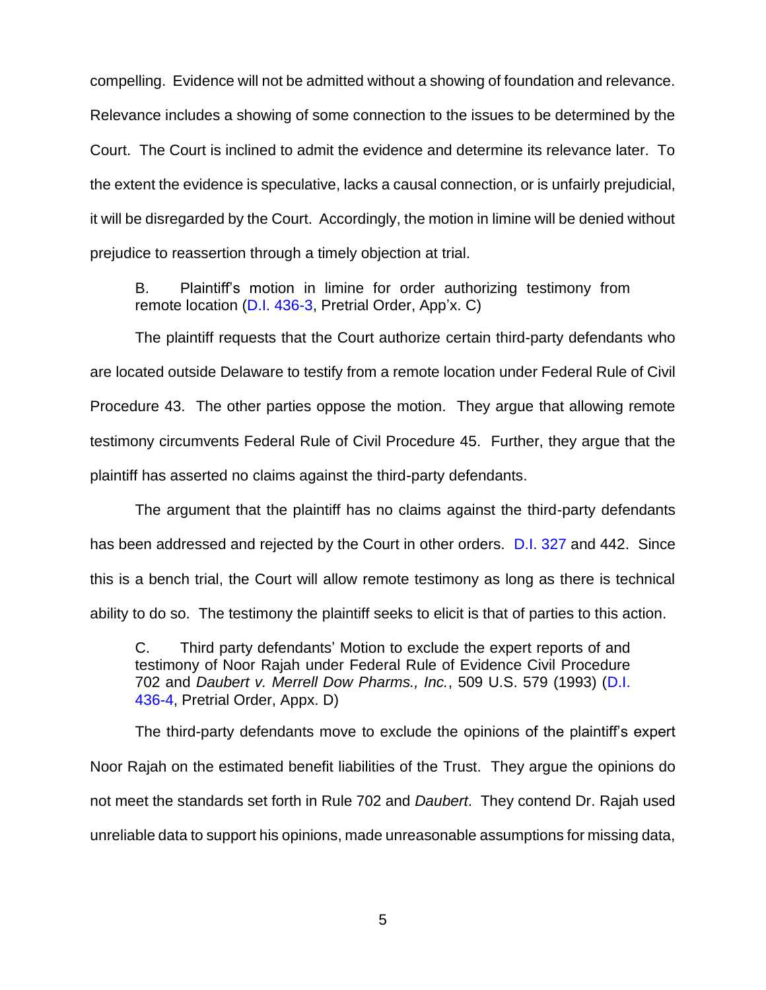compelling. Evidence will not be admitted without a showing of foundation and relevance. Relevance includes a showing of some connection to the issues to be determined by the Court. The Court is inclined to admit the evidence and determine its relevance later. To the extent the evidence is speculative, lacks a causal connection, or is unfairly prejudicial, it will be disregarded by the Court. Accordingly, the motion in limine will be denied without prejudice to reassertion through a timely objection at trial.

B. Plaintiff's motion in limine for order authorizing testimony from remote location [\(D.I. 436-3,](https://ecf.ded.uscourts.gov/doc1/04315561802) Pretrial Order, App'x. C)

The plaintiff requests that the Court authorize certain third-party defendants who are located outside Delaware to testify from a remote location under Federal Rule of Civil Procedure 43. The other parties oppose the motion. They argue that allowing remote testimony circumvents Federal Rule of Civil Procedure 45. Further, they argue that the plaintiff has asserted no claims against the third-party defendants.

The argument that the plaintiff has no claims against the third-party defendants has been addressed and rejected by the Court in other orders. [D.I. 327](https://ecf.ded.uscourts.gov/doc1/04315077123) and 442. Since this is a bench trial, the Court will allow remote testimony as long as there is technical ability to do so. The testimony the plaintiff seeks to elicit is that of parties to this action.

C. Third party defendants' Motion to exclude the expert reports of and testimony of Noor Rajah under Federal Rule of Evidence Civil Procedure 702 and *Daubert v. Merrell Dow Pharms., Inc.*, 509 U.S. 579 (1993) [\(D.I.](https://ecf.ded.uscourts.gov/doc1/04315561803)  [436-4,](https://ecf.ded.uscourts.gov/doc1/04315561803) Pretrial Order, Appx. D)

The third-party defendants move to exclude the opinions of the plaintiff's expert Noor Rajah on the estimated benefit liabilities of the Trust. They argue the opinions do not meet the standards set forth in Rule 702 and *Daubert*. They contend Dr. Rajah used unreliable data to support his opinions, made unreasonable assumptions for missing data,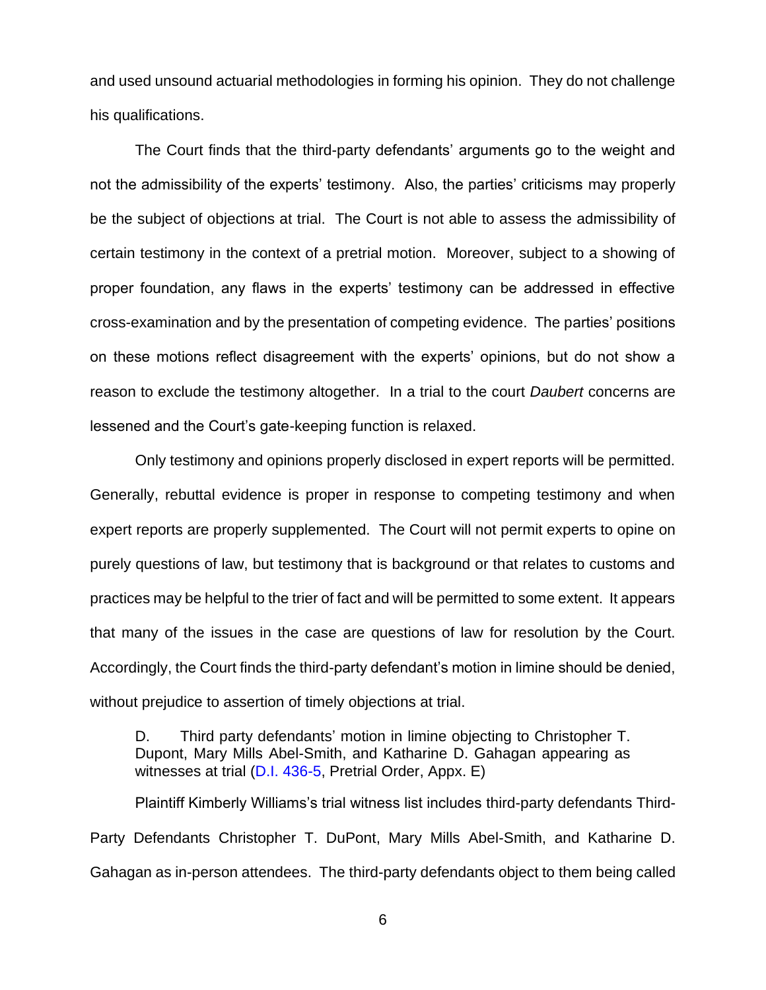and used unsound actuarial methodologies in forming his opinion. They do not challenge his qualifications.

The Court finds that the third-party defendants' arguments go to the weight and not the admissibility of the experts' testimony. Also, the parties' criticisms may properly be the subject of objections at trial. The Court is not able to assess the admissibility of certain testimony in the context of a pretrial motion. Moreover, subject to a showing of proper foundation, any flaws in the experts' testimony can be addressed in effective cross-examination and by the presentation of competing evidence. The parties' positions on these motions reflect disagreement with the experts' opinions, but do not show a reason to exclude the testimony altogether. In a trial to the court *Daubert* concerns are lessened and the Court's gate-keeping function is relaxed.

Only testimony and opinions properly disclosed in expert reports will be permitted. Generally, rebuttal evidence is proper in response to competing testimony and when expert reports are properly supplemented. The Court will not permit experts to opine on purely questions of law, but testimony that is background or that relates to customs and practices may be helpful to the trier of fact and will be permitted to some extent. It appears that many of the issues in the case are questions of law for resolution by the Court. Accordingly, the Court finds the third-party defendant's motion in limine should be denied, without prejudice to assertion of timely objections at trial.

D. Third party defendants' motion in limine objecting to Christopher T. Dupont, Mary Mills Abel-Smith, and Katharine D. Gahagan appearing as witnesses at trial [\(D.I. 436-5,](https://ecf.ded.uscourts.gov/doc1/04315561804) Pretrial Order, Appx. E)

Plaintiff Kimberly Williams's trial witness list includes third-party defendants Third-Party Defendants Christopher T. DuPont, Mary Mills Abel-Smith, and Katharine D. Gahagan as in-person attendees. The third-party defendants object to them being called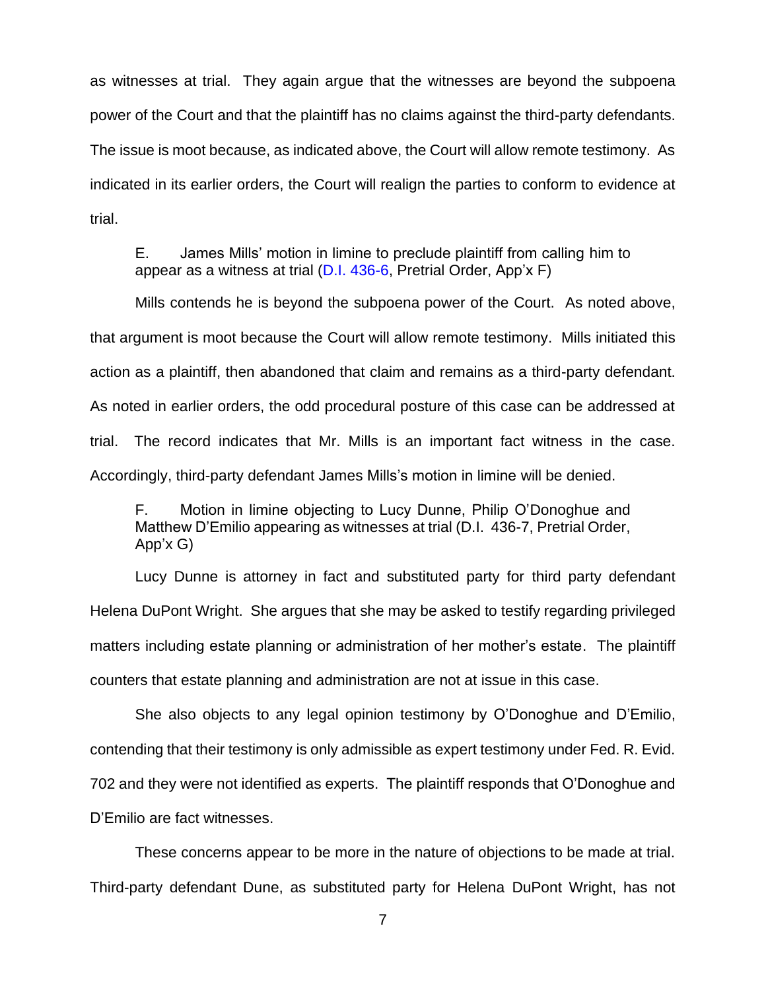as witnesses at trial. They again argue that the witnesses are beyond the subpoena power of the Court and that the plaintiff has no claims against the third-party defendants. The issue is moot because, as indicated above, the Court will allow remote testimony. As indicated in its earlier orders, the Court will realign the parties to conform to evidence at trial.

E. James Mills' motion in limine to preclude plaintiff from calling him to appear as a witness at trial [\(D.I. 436-6,](https://ecf.ded.uscourts.gov/doc1/04315561805) Pretrial Order, App'x F)

Mills contends he is beyond the subpoena power of the Court. As noted above, that argument is moot because the Court will allow remote testimony. Mills initiated this action as a plaintiff, then abandoned that claim and remains as a third-party defendant. As noted in earlier orders, the odd procedural posture of this case can be addressed at trial. The record indicates that Mr. Mills is an important fact witness in the case. Accordingly, third-party defendant James Mills's motion in limine will be denied.

F. Motion in limine objecting to Lucy Dunne, Philip O'Donoghue and Matthew D'Emilio appearing as witnesses at trial (D.I. 436-7, Pretrial Order, App'x G)

Lucy Dunne is attorney in fact and substituted party for third party defendant Helena DuPont Wright. She argues that she may be asked to testify regarding privileged matters including estate planning or administration of her mother's estate. The plaintiff counters that estate planning and administration are not at issue in this case.

She also objects to any legal opinion testimony by O'Donoghue and D'Emilio, contending that their testimony is only admissible as expert testimony under Fed. R. Evid. 702 and they were not identified as experts. The plaintiff responds that O'Donoghue and D'Emilio are fact witnesses.

These concerns appear to be more in the nature of objections to be made at trial. Third-party defendant Dune, as substituted party for Helena DuPont Wright, has not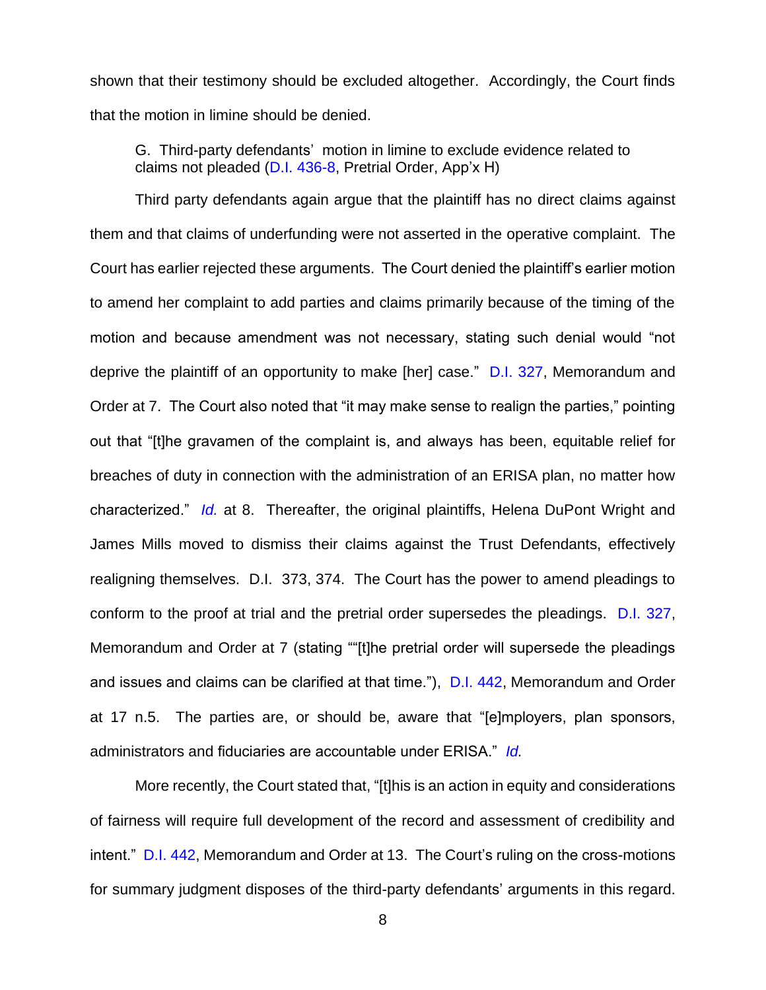shown that their testimony should be excluded altogether. Accordingly, the Court finds that the motion in limine should be denied.

G. Third-party defendants' motion in limine to exclude evidence related to claims not pleaded [\(D.I. 436-8,](https://ecf.ded.uscourts.gov/doc1/04315561807) Pretrial Order, App'x H)

Third party defendants again argue that the plaintiff has no direct claims against them and that claims of underfunding were not asserted in the operative complaint. The Court has earlier rejected these arguments. The Court denied the plaintiff's earlier motion to amend her complaint to add parties and claims primarily because of the timing of the motion and because amendment was not necessary, stating such denial would "not deprive the plaintiff of an opportunity to make [her] case." [D.I. 327,](https://ecf.ded.uscourts.gov/doc1/04315077123) Memorandum and Order at 7. The Court also noted that "it may make sense to realign the parties," pointing out that "[t]he gravamen of the complaint is, and always has been, equitable relief for breaches of duty in connection with the administration of an ERISA plan, no matter how characterized." *[Id.](https://ecf.ded.uscourts.gov/doc1/04315077123)* at 8. Thereafter, the original plaintiffs, Helena DuPont Wright and James Mills moved to dismiss their claims against the Trust Defendants, effectively realigning themselves. D.I. 373, 374. The Court has the power to amend pleadings to conform to the proof at trial and the pretrial order supersedes the pleadings. [D.I. 327,](https://ecf.ded.uscourts.gov/doc1/04315077123) Memorandum and Order at 7 (stating ""[t]he pretrial order will supersede the pleadings and issues and claims can be clarified at that time."), [D.I. 442,](https://ecf.ded.uscourts.gov/doc1/04315573995) Memorandum and Order at 17 n.5. The parties are, or should be, aware that "[e]mployers, plan sponsors, administrators and fiduciaries are accountable under ERISA." *[Id.](https://ecf.ded.uscourts.gov/doc1/04315573995)*

More recently, the Court stated that, "[t]his is an action in equity and considerations of fairness will require full development of the record and assessment of credibility and intent." [D.I. 442,](https://ecf.ded.uscourts.gov/doc1/04315573995) Memorandum and Order at 13. The Court's ruling on the cross-motions for summary judgment disposes of the third-party defendants' arguments in this regard.